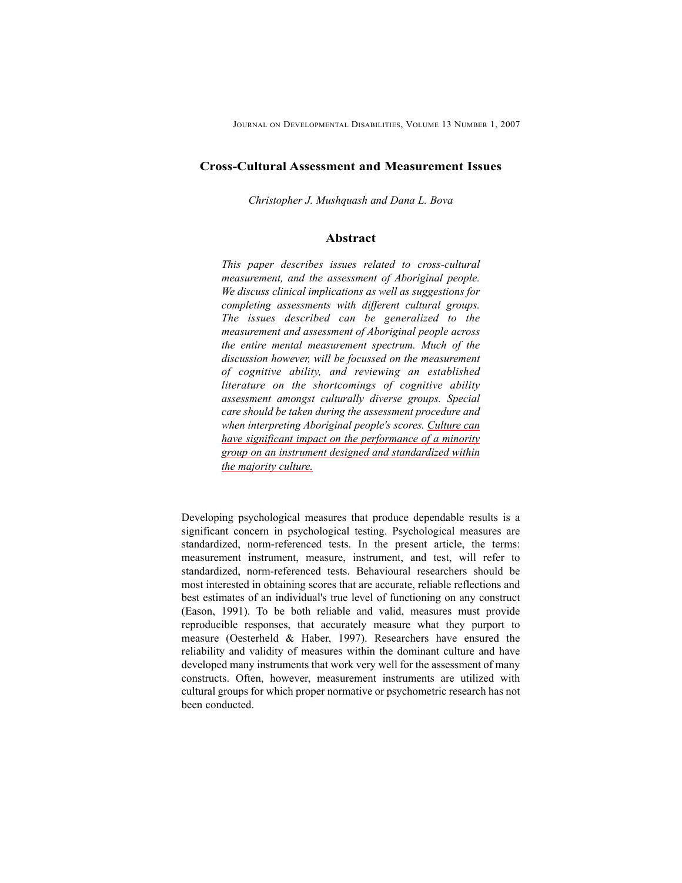## **Cross-Cultural Assessment and Measurement Issues**

*Christopher J. Mushquash and Dana L. Bova*

### **Abstract**

*This paper describes issues related to cross-cultural measurement, and the assessment of Aboriginal people. We discuss clinical implications as well as suggestions for completing assessments with different cultural groups. The issues described can be generalized to the measurement and assessment of Aboriginal people across the entire mental measurement spectrum. Much of the discussion however, will be focussed on the measurement of cognitive ability, and reviewing an established literature on the shortcomings of cognitive ability assessment amongst culturally diverse groups. Special care should be taken during the assessment procedure and when interpreting Aboriginal people's scores. Culture can have significant impact on the performance of a minority group on an instrument designed and standardized within the majority culture.*

Developing psychological measures that produce dependable results is a significant concern in psychological testing. Psychological measures are standardized, norm-referenced tests. In the present article, the terms: measurement instrument, measure, instrument, and test, will refer to standardized, norm-referenced tests. Behavioural researchers should be most interested in obtaining scores that are accurate, reliable reflections and best estimates of an individual's true level of functioning on any construct (Eason, 1991). To be both reliable and valid, measures must provide reproducible responses, that accurately measure what they purport to measure (Oesterheld & Haber, 1997). Researchers have ensured the reliability and validity of measures within the dominant culture and have developed many instruments that work very well for the assessment of many constructs. Often, however, measurement instruments are utilized with cultural groups for which proper normative or psychometric research has not been conducted.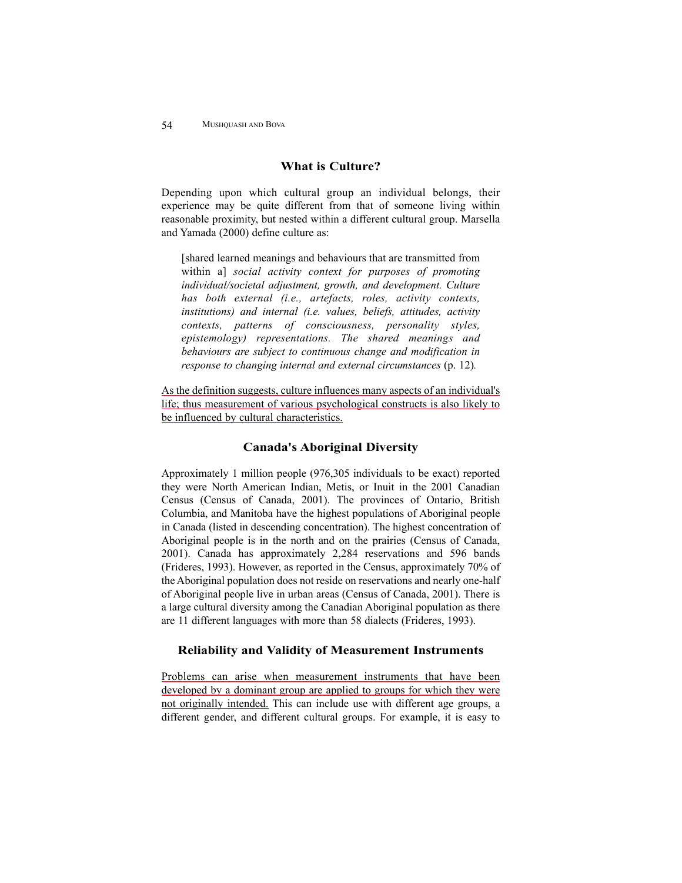# **What is Culture?**

Depending upon which cultural group an individual belongs, their experience may be quite different from that of someone living within reasonable proximity, but nested within a different cultural group. Marsella and Yamada (2000) define culture as:

[shared learned meanings and behaviours that are transmitted from within a] *social activity context for purposes of promoting individual/societal adjustment, growth, and development. Culture has both external (i.e., artefacts, roles, activity contexts, institutions) and internal (i.e. values, beliefs, attitudes, activity contexts, patterns of consciousness, personality styles, epistemology) representations. The shared meanings and behaviours are subject to continuous change and modification in response to changing internal and external circumstances* (p. 12)*.*

As the definition suggests, culture influences many aspects of an individual's life; thus measurement of various psychological constructs is also likely to be influenced by cultural characteristics.

## **Canada's Aboriginal Diversity**

Approximately 1 million people (976,305 individuals to be exact) reported they were North American Indian, Metis, or Inuit in the 2001 Canadian Census (Census of Canada, 2001). The provinces of Ontario, British Columbia, and Manitoba have the highest populations of Aboriginal people in Canada (listed in descending concentration). The highest concentration of Aboriginal people is in the north and on the prairies (Census of Canada, 2001). Canada has approximately 2,284 reservations and 596 bands (Frideres, 1993). However, as reported in the Census, approximately 70% of the Aboriginal population does not reside on reservations and nearly one-half of Aboriginal people live in urban areas (Census of Canada, 2001). There is a large cultural diversity among the Canadian Aboriginal population as there are 11 different languages with more than 58 dialects (Frideres, 1993).

## **Reliability and Validity of Measurement Instruments**

Problems can arise when measurement instruments that have been developed by a dominant group are applied to groups for which they were not originally intended. This can include use with different age groups, a different gender, and different cultural groups. For example, it is easy to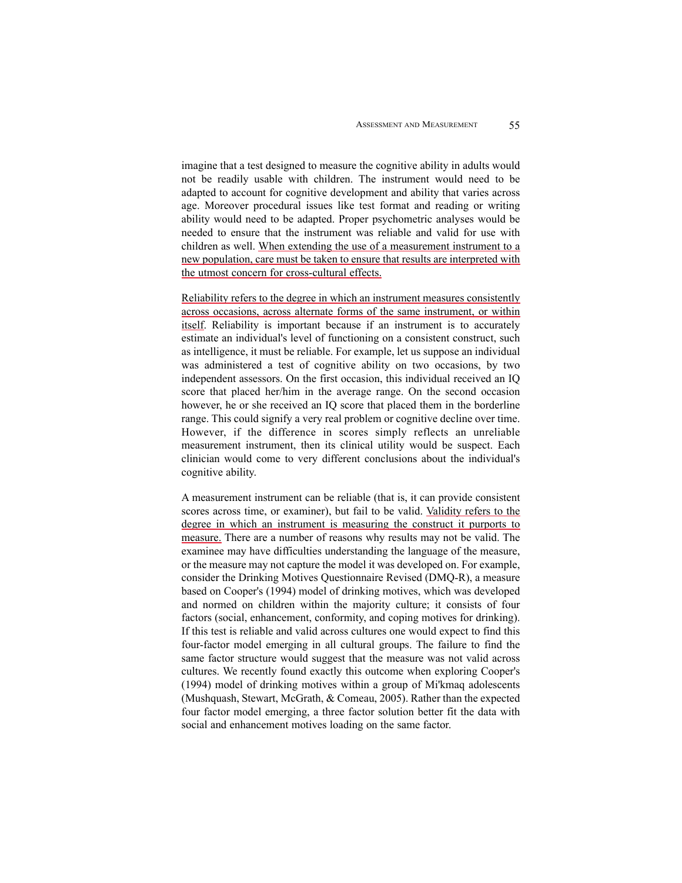imagine that a test designed to measure the cognitive ability in adults would not be readily usable with children. The instrument would need to be adapted to account for cognitive development and ability that varies across age. Moreover procedural issues like test format and reading or writing ability would need to be adapted. Proper psychometric analyses would be needed to ensure that the instrument was reliable and valid for use with children as well. When extending the use of a measurement instrument to a new population, care must be taken to ensure that results are interpreted with the utmost concern for cross-cultural effects.

Reliability refers to the degree in which an instrument measures consistently across occasions, across alternate forms of the same instrument, or within itself. Reliability is important because if an instrument is to accurately estimate an individual's level of functioning on a consistent construct, such as intelligence, it must be reliable. For example, let us suppose an individual was administered a test of cognitive ability on two occasions, by two independent assessors. On the first occasion, this individual received an IQ score that placed her/him in the average range. On the second occasion however, he or she received an IQ score that placed them in the borderline range. This could signify a very real problem or cognitive decline over time. However, if the difference in scores simply reflects an unreliable measurement instrument, then its clinical utility would be suspect. Each clinician would come to very different conclusions about the individual's cognitive ability.

A measurement instrument can be reliable (that is, it can provide consistent scores across time, or examiner), but fail to be valid. Validity refers to the degree in which an instrument is measuring the construct it purports to measure. There are a number of reasons why results may not be valid. The examinee may have difficulties understanding the language of the measure, or the measure may not capture the model it was developed on. For example, consider the Drinking Motives Questionnaire Revised (DMQ-R), a measure based on Cooper's (1994) model of drinking motives, which was developed and normed on children within the majority culture; it consists of four factors (social, enhancement, conformity, and coping motives for drinking). If this test is reliable and valid across cultures one would expect to find this four-factor model emerging in all cultural groups. The failure to find the same factor structure would suggest that the measure was not valid across cultures. We recently found exactly this outcome when exploring Cooper's (1994) model of drinking motives within a group of Mi'kmaq adolescents (Mushquash, Stewart, McGrath, & Comeau, 2005). Rather than the expected four factor model emerging, a three factor solution better fit the data with social and enhancement motives loading on the same factor.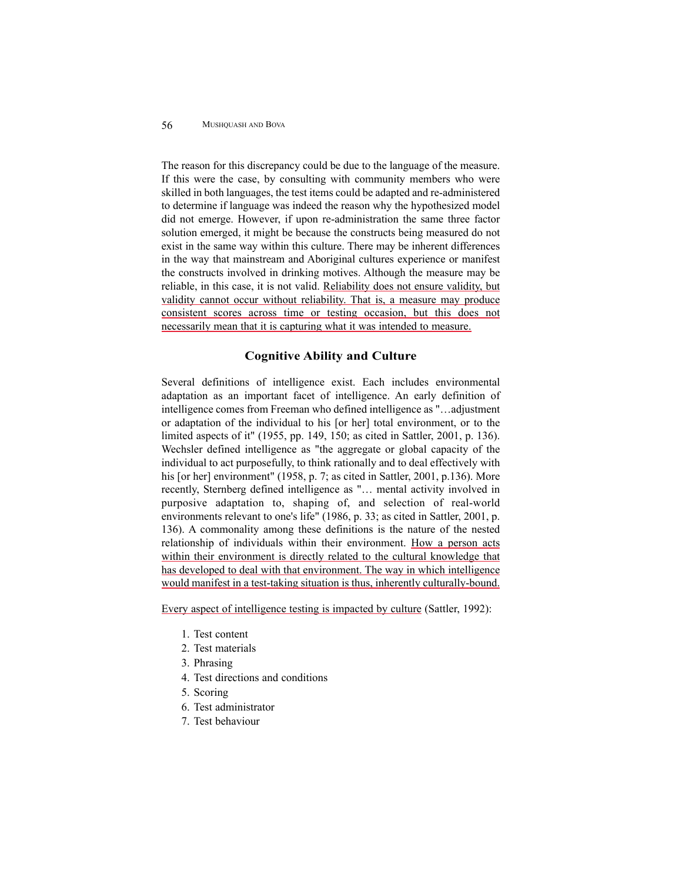The reason for this discrepancy could be due to the language of the measure. If this were the case, by consulting with community members who were skilled in both languages, the test items could be adapted and re-administered to determine if language was indeed the reason why the hypothesized model did not emerge. However, if upon re-administration the same three factor solution emerged, it might be because the constructs being measured do not exist in the same way within this culture. There may be inherent differences in the way that mainstream and Aboriginal cultures experience or manifest the constructs involved in drinking motives. Although the measure may be reliable, in this case, it is not valid. Reliability does not ensure validity, but validity cannot occur without reliability. That is, a measure may produce consistent scores across time or testing occasion, but this does not necessarily mean that it is capturing what it was intended to measure.

# **Cognitive Ability and Culture**

Several definitions of intelligence exist. Each includes environmental adaptation as an important facet of intelligence. An early definition of intelligence comes from Freeman who defined intelligence as "…adjustment or adaptation of the individual to his [or her] total environment, or to the limited aspects of it" (1955, pp. 149, 150; as cited in Sattler, 2001, p. 136). Wechsler defined intelligence as "the aggregate or global capacity of the individual to act purposefully, to think rationally and to deal effectively with his [or her] environment" (1958, p. 7; as cited in Sattler, 2001, p.136). More recently, Sternberg defined intelligence as "… mental activity involved in purposive adaptation to, shaping of, and selection of real-world environments relevant to one's life" (1986, p. 33; as cited in Sattler, 2001, p. 136). A commonality among these definitions is the nature of the nested relationship of individuals within their environment. How a person acts within their environment is directly related to the cultural knowledge that has developed to deal with that environment. The way in which intelligence would manifest in a test-taking situation is thus, inherently culturally-bound.

Every aspect of intelligence testing is impacted by culture (Sattler, 1992):

- 1. Test content
- 2. Test materials
- 3. Phrasing
- 4. Test directions and conditions
- 5. Scoring
- 6. Test administrator
- 7. Test behaviour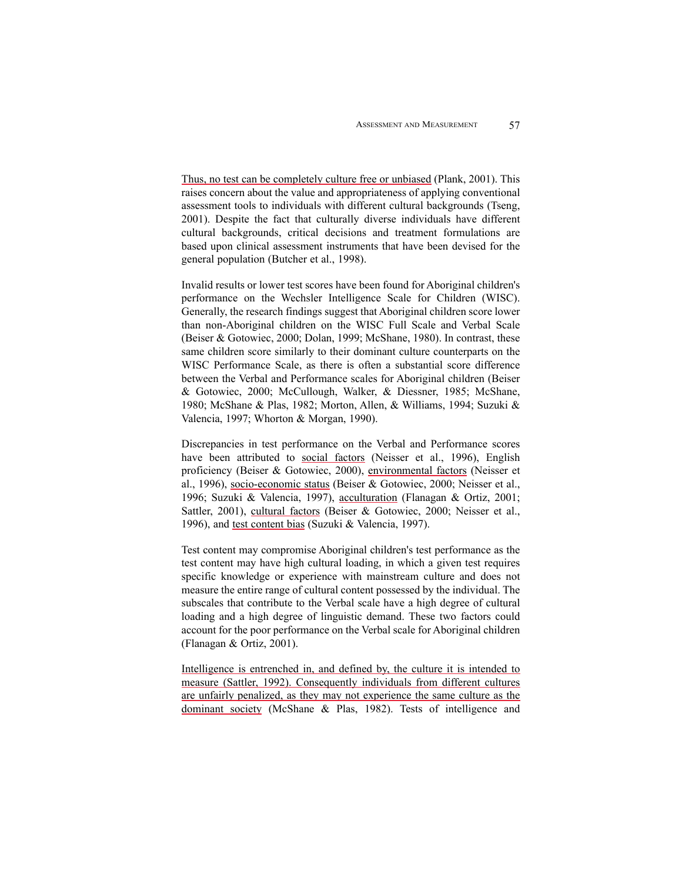Thus, no test can be completely culture free or unbiased (Plank, 2001). This raises concern about the value and appropriateness of applying conventional assessment tools to individuals with different cultural backgrounds (Tseng, 2001). Despite the fact that culturally diverse individuals have different cultural backgrounds, critical decisions and treatment formulations are based upon clinical assessment instruments that have been devised for the general population (Butcher et al., 1998).

Invalid results or lower test scores have been found for Aboriginal children's performance on the Wechsler Intelligence Scale for Children (WISC). Generally, the research findings suggest that Aboriginal children score lower than non-Aboriginal children on the WISC Full Scale and Verbal Scale (Beiser & Gotowiec, 2000; Dolan, 1999; McShane, 1980). In contrast, these same children score similarly to their dominant culture counterparts on the WISC Performance Scale, as there is often a substantial score difference between the Verbal and Performance scales for Aboriginal children (Beiser & Gotowiec, 2000; McCullough, Walker, & Diessner, 1985; McShane, 1980; McShane & Plas, 1982; Morton, Allen, & Williams, 1994; Suzuki & Valencia, 1997; Whorton & Morgan, 1990).

Discrepancies in test performance on the Verbal and Performance scores have been attributed to social factors (Neisser et al., 1996), English proficiency (Beiser & Gotowiec, 2000), environmental factors (Neisser et al., 1996), socio-economic status (Beiser & Gotowiec, 2000; Neisser et al., 1996; Suzuki & Valencia, 1997), acculturation (Flanagan & Ortiz, 2001; Sattler, 2001), cultural factors (Beiser & Gotowiec, 2000; Neisser et al., 1996), and test content bias (Suzuki & Valencia, 1997).

Test content may compromise Aboriginal children's test performance as the test content may have high cultural loading, in which a given test requires specific knowledge or experience with mainstream culture and does not measure the entire range of cultural content possessed by the individual. The subscales that contribute to the Verbal scale have a high degree of cultural loading and a high degree of linguistic demand. These two factors could account for the poor performance on the Verbal scale for Aboriginal children (Flanagan & Ortiz, 2001).

Intelligence is entrenched in, and defined by, the culture it is intended to measure (Sattler, 1992). Consequently individuals from different cultures are unfairly penalized, as they may not experience the same culture as the dominant society (McShane & Plas, 1982). Tests of intelligence and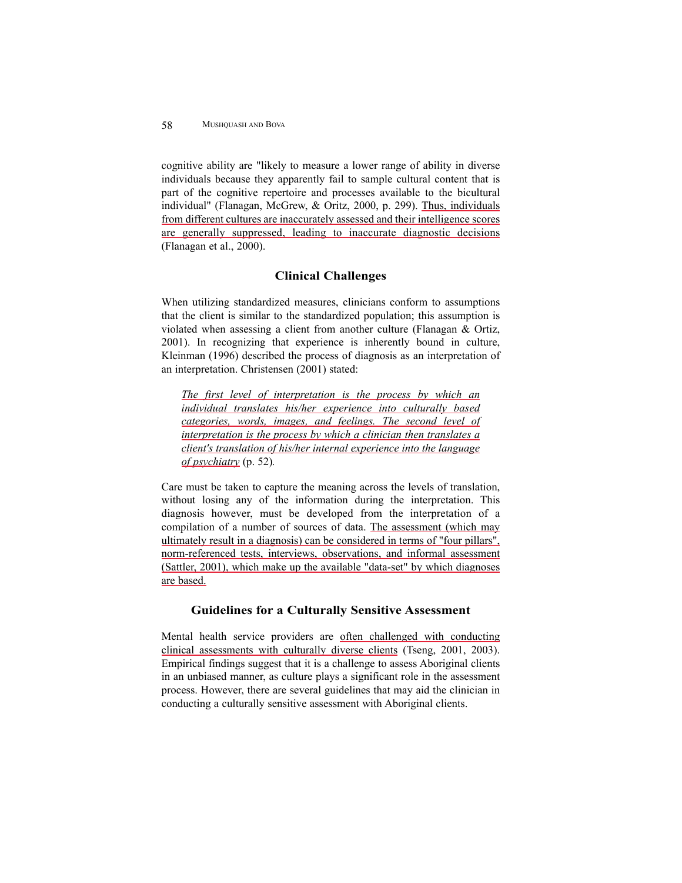cognitive ability are "likely to measure a lower range of ability in diverse individuals because they apparently fail to sample cultural content that is part of the cognitive repertoire and processes available to the bicultural individual" (Flanagan, McGrew, & Oritz, 2000, p. 299). Thus, individuals from different cultures are inaccurately assessed and their intelligence scores are generally suppressed, leading to inaccurate diagnostic decisions (Flanagan et al., 2000).

### **Clinical Challenges**

When utilizing standardized measures, clinicians conform to assumptions that the client is similar to the standardized population; this assumption is violated when assessing a client from another culture (Flanagan & Ortiz, 2001). In recognizing that experience is inherently bound in culture, Kleinman (1996) described the process of diagnosis as an interpretation of an interpretation. Christensen (2001) stated:

*The first level of interpretation is the process by which an individual translates his/her experience into culturally based categories, words, images, and feelings. The second level of interpretation is the process by which a clinician then translates a client's translation of his/her internal experience into the language of psychiatry* (p. 52)*.*

Care must be taken to capture the meaning across the levels of translation, without losing any of the information during the interpretation. This diagnosis however, must be developed from the interpretation of a compilation of a number of sources of data. The assessment (which may ultimately result in a diagnosis) can be considered in terms of "four pillars", norm-referenced tests, interviews, observations, and informal assessment (Sattler, 2001), which make up the available "data-set" by which diagnoses are based.

### **Guidelines for a Culturally Sensitive Assessment**

Mental health service providers are often challenged with conducting clinical assessments with culturally diverse clients (Tseng, 2001, 2003). Empirical findings suggest that it is a challenge to assess Aboriginal clients in an unbiased manner, as culture plays a significant role in the assessment process. However, there are several guidelines that may aid the clinician in conducting a culturally sensitive assessment with Aboriginal clients.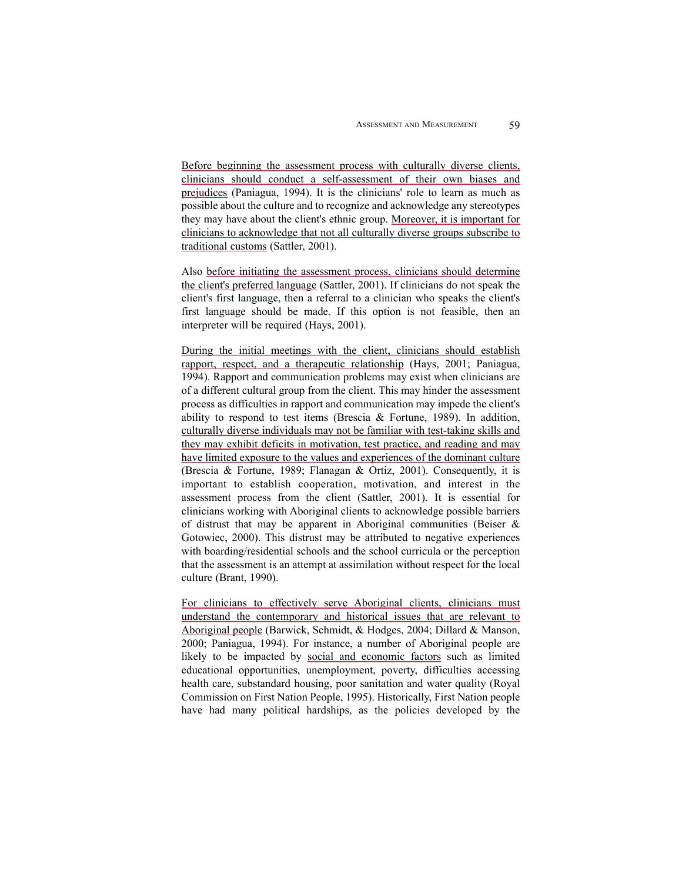Before beginning the assessment process with culturally diverse clients, clinicians should conduct a self-assessment of their own biases and prejudices (Paniagua, 1994). It is the clinicians' role to learn as much as possible about the culture and to recognize and acknowledge any stereotypes they may have about the client's ethnic group. Moreover, it is important for clinicians to acknowledge that not all culturally diverse groups subscribe to traditional customs (Sattler, 2001).

Also before initiating the assessment process, clinicians should determine the client's preferred language (Sattler, 2001). If clinicians do not speak the client's first language, then a referral to a clinician who speaks the client's first language should be made. If this option is not feasible, then an interpreter will be required (Hays, 2001).

During the initial meetings with the client, clinicians should establish rapport, respect, and a therapeutic relationship (Hays, 2001; Paniagua, 1994). Rapport and communication problems may exist when clinicians are of a different cultural group from the client. This may hinder the assessment process as difficulties in rapport and communication may impede the client's ability to respond to test items (Brescia & Fortune, 1989). In addition, culturally diverse individuals may not be familiar with test-taking skills and they may exhibit deficits in motivation, test practice, and reading and may have limited exposure to the values and experiences of the dominant culture (Brescia & Fortune, 1989; Flanagan & Ortiz, 2001). Consequently, it is important to establish cooperation, motivation, and interest in the assessment process from the client (Sattler, 2001). It is essential for clinicians working with Aboriginal clients to acknowledge possible barriers of distrust that may be apparent in Aboriginal communities (Beiser & Gotowiec, 2000). This distrust may be attributed to negative experiences with boarding/residential schools and the school curricula or the perception that the assessment is an attempt at assimilation without respect for the local culture (Brant, 1990).

For clinicians to effectively serve Aboriginal clients, clinicians must understand the contemporary and historical issues that are relevant to Aboriginal people (Barwick, Schmidt, & Hodges, 2004; Dillard & Manson, 2000; Paniagua, 1994). For instance, a number of Aboriginal people are likely to be impacted by social and economic factors such as limited educational opportunities, unemployment, poverty, difficulties accessing health care, substandard housing, poor sanitation and water quality (Royal Commission on First Nation People, 1995). Historically, First Nation people have had many political hardships, as the policies developed by the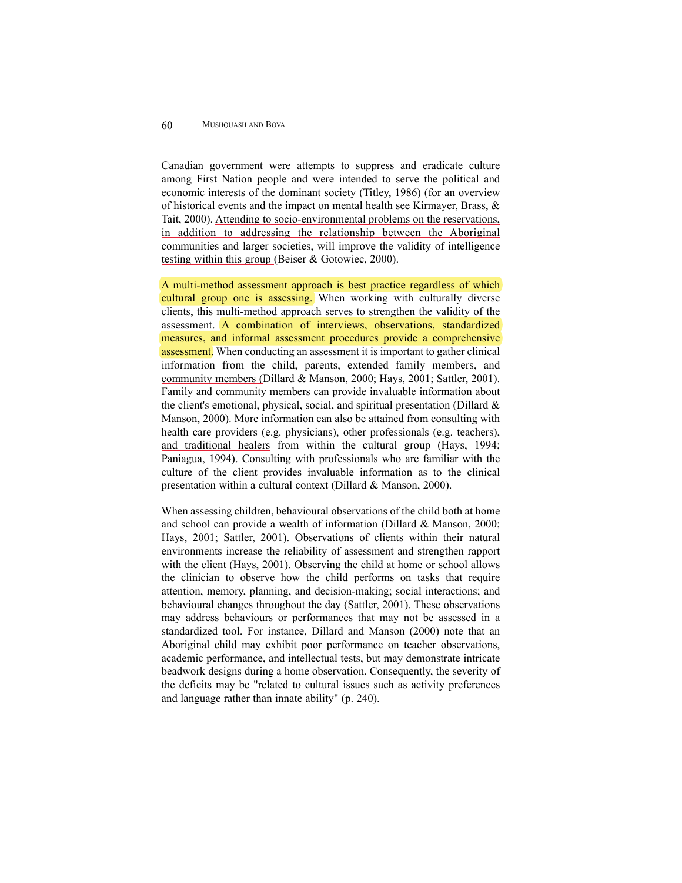Canadian government were attempts to suppress and eradicate culture among First Nation people and were intended to serve the political and economic interests of the dominant society (Titley, 1986) (for an overview of historical events and the impact on mental health see Kirmayer, Brass,  $\&$ Tait, 2000). Attending to socio-environmental problems on the reservations, in addition to addressing the relationship between the Aboriginal communities and larger societies, will improve the validity of intelligence testing within this group (Beiser & Gotowiec, 2000).

A multi-method assessment approach is best practice regardless of which cultural group one is assessing. When working with culturally diverse clients, this multi-method approach serves to strengthen the validity of the assessment. A combination of interviews, observations, standardized measures, and informal assessment procedures provide a comprehensive **assessment**. When conducting an assessment it is important to gather clinical information from the child, parents, extended family members, and community members (Dillard & Manson, 2000; Hays, 2001; Sattler, 2001). Family and community members can provide invaluable information about the client's emotional, physical, social, and spiritual presentation (Dillard  $\&$ Manson, 2000). More information can also be attained from consulting with health care providers (e.g. physicians), other professionals (e.g. teachers), and traditional healers from within the cultural group (Hays, 1994; Paniagua, 1994). Consulting with professionals who are familiar with the culture of the client provides invaluable information as to the clinical presentation within a cultural context (Dillard & Manson, 2000).

When assessing children, behavioural observations of the child both at home and school can provide a wealth of information (Dillard & Manson, 2000; Hays, 2001; Sattler, 2001). Observations of clients within their natural environments increase the reliability of assessment and strengthen rapport with the client (Hays, 2001). Observing the child at home or school allows the clinician to observe how the child performs on tasks that require attention, memory, planning, and decision-making; social interactions; and behavioural changes throughout the day (Sattler, 2001). These observations may address behaviours or performances that may not be assessed in a standardized tool. For instance, Dillard and Manson (2000) note that an Aboriginal child may exhibit poor performance on teacher observations, academic performance, and intellectual tests, but may demonstrate intricate beadwork designs during a home observation. Consequently, the severity of the deficits may be "related to cultural issues such as activity preferences and language rather than innate ability" (p. 240).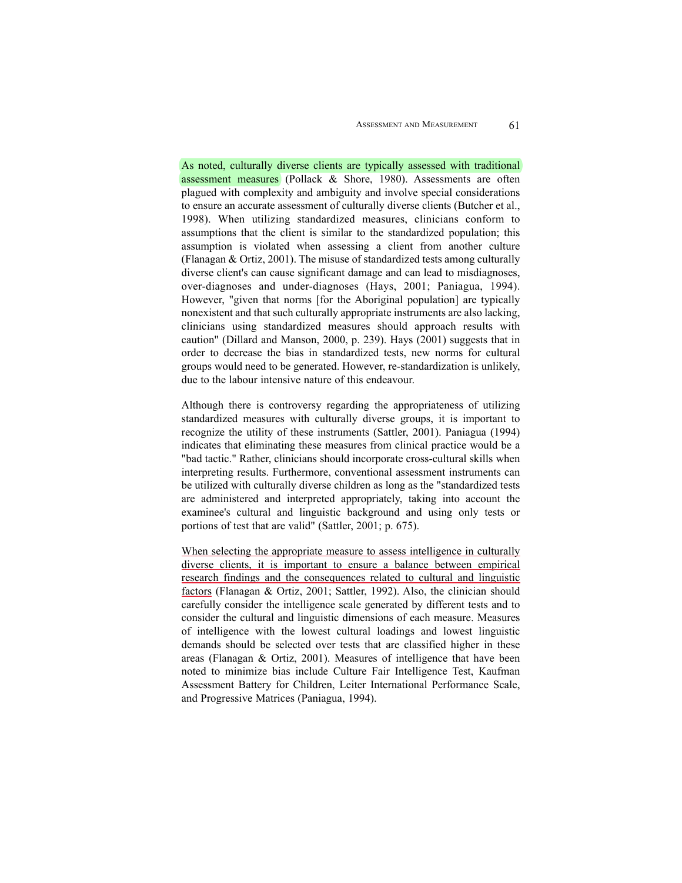As noted, culturally diverse clients are typically assessed with traditional assessment measures (Pollack & Shore, 1980). Assessments are often plagued with complexity and ambiguity and involve special considerations to ensure an accurate assessment of culturally diverse clients (Butcher et al., 1998). When utilizing standardized measures, clinicians conform to assumptions that the client is similar to the standardized population; this assumption is violated when assessing a client from another culture (Flanagan & Ortiz, 2001). The misuse of standardized tests among culturally diverse client's can cause significant damage and can lead to misdiagnoses, over-diagnoses and under-diagnoses (Hays, 2001; Paniagua, 1994). However, "given that norms [for the Aboriginal population] are typically nonexistent and that such culturally appropriate instruments are also lacking, clinicians using standardized measures should approach results with caution" (Dillard and Manson, 2000, p. 239). Hays (2001) suggests that in order to decrease the bias in standardized tests, new norms for cultural groups would need to be generated. However, re-standardization is unlikely, due to the labour intensive nature of this endeavour.

Although there is controversy regarding the appropriateness of utilizing standardized measures with culturally diverse groups, it is important to recognize the utility of these instruments (Sattler, 2001). Paniagua (1994) indicates that eliminating these measures from clinical practice would be a "bad tactic." Rather, clinicians should incorporate cross-cultural skills when interpreting results. Furthermore, conventional assessment instruments can be utilized with culturally diverse children as long as the "standardized tests are administered and interpreted appropriately, taking into account the examinee's cultural and linguistic background and using only tests or portions of test that are valid" (Sattler, 2001; p. 675).

When selecting the appropriate measure to assess intelligence in culturally diverse clients, it is important to ensure a balance between empirical research findings and the consequences related to cultural and linguistic factors (Flanagan & Ortiz, 2001; Sattler, 1992). Also, the clinician should carefully consider the intelligence scale generated by different tests and to consider the cultural and linguistic dimensions of each measure. Measures of intelligence with the lowest cultural loadings and lowest linguistic demands should be selected over tests that are classified higher in these areas (Flanagan & Ortiz, 2001). Measures of intelligence that have been noted to minimize bias include Culture Fair Intelligence Test, Kaufman Assessment Battery for Children, Leiter International Performance Scale, and Progressive Matrices (Paniagua, 1994).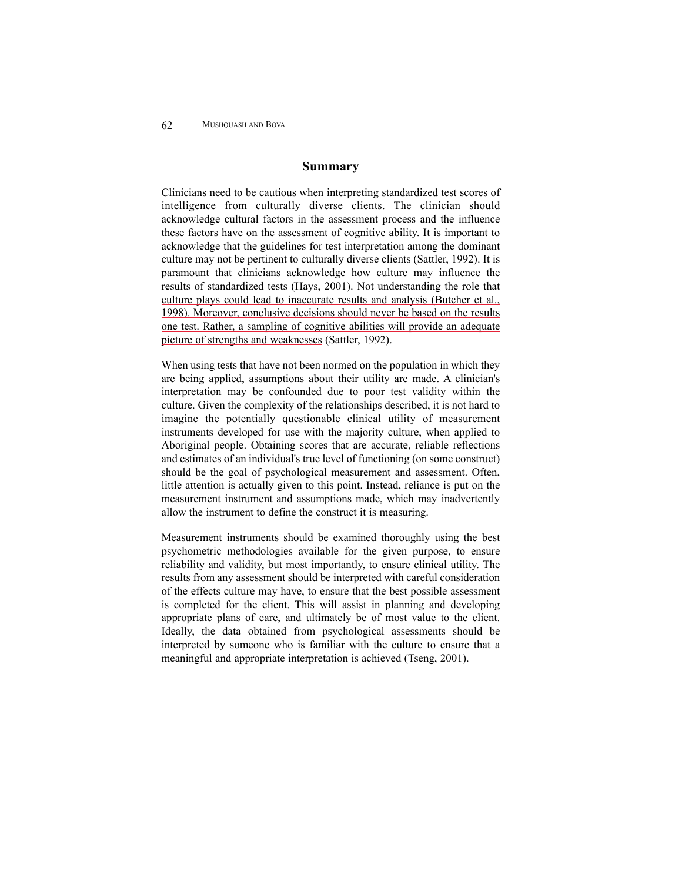#### **Summary**

Clinicians need to be cautious when interpreting standardized test scores of intelligence from culturally diverse clients. The clinician should acknowledge cultural factors in the assessment process and the influence these factors have on the assessment of cognitive ability. It is important to acknowledge that the guidelines for test interpretation among the dominant culture may not be pertinent to culturally diverse clients (Sattler, 1992). It is paramount that clinicians acknowledge how culture may influence the results of standardized tests (Hays, 2001). Not understanding the role that culture plays could lead to inaccurate results and analysis (Butcher et al., 1998). Moreover, conclusive decisions should never be based on the results one test. Rather, a sampling of cognitive abilities will provide an adequate picture of strengths and weaknesses (Sattler, 1992).

When using tests that have not been normed on the population in which they are being applied, assumptions about their utility are made. A clinician's interpretation may be confounded due to poor test validity within the culture. Given the complexity of the relationships described, it is not hard to imagine the potentially questionable clinical utility of measurement instruments developed for use with the majority culture, when applied to Aboriginal people. Obtaining scores that are accurate, reliable reflections and estimates of an individual's true level of functioning (on some construct) should be the goal of psychological measurement and assessment. Often, little attention is actually given to this point. Instead, reliance is put on the measurement instrument and assumptions made, which may inadvertently allow the instrument to define the construct it is measuring.

Measurement instruments should be examined thoroughly using the best psychometric methodologies available for the given purpose, to ensure reliability and validity, but most importantly, to ensure clinical utility. The results from any assessment should be interpreted with careful consideration of the effects culture may have, to ensure that the best possible assessment is completed for the client. This will assist in planning and developing appropriate plans of care, and ultimately be of most value to the client. Ideally, the data obtained from psychological assessments should be interpreted by someone who is familiar with the culture to ensure that a meaningful and appropriate interpretation is achieved (Tseng, 2001).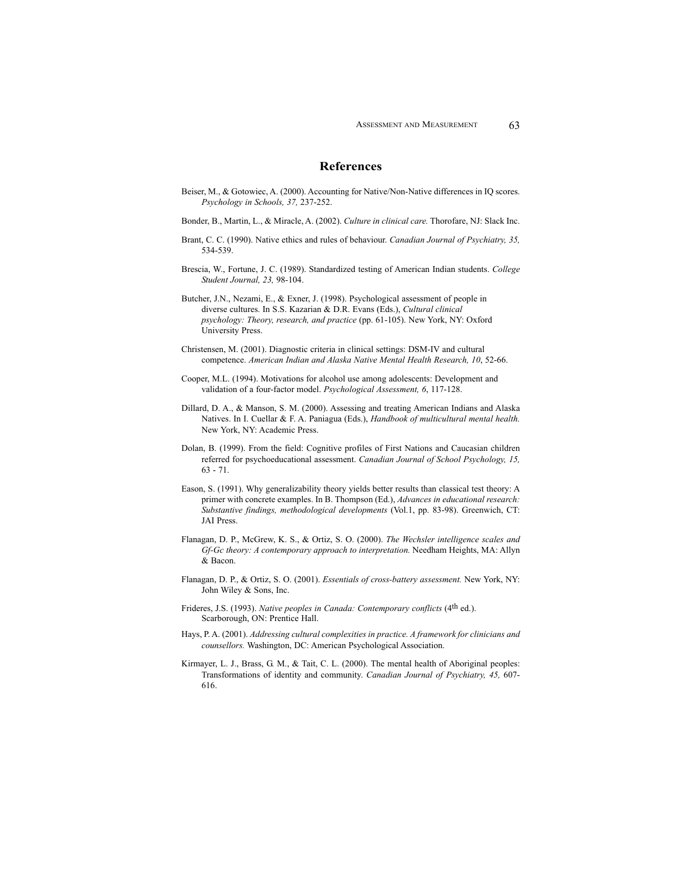#### **References**

- Beiser, M., & Gotowiec, A. (2000). Accounting for Native/Non-Native differences in IQ scores. *Psychology in Schools, 37,* 237-252.
- Bonder, B., Martin, L., & Miracle, A. (2002). *Culture in clinical care.* Thorofare, NJ: Slack Inc.
- Brant, C. C. (1990). Native ethics and rules of behaviour. *Canadian Journal of Psychiatry, 35,* 534-539.
- Brescia, W., Fortune, J. C. (1989). Standardized testing of American Indian students. *College Student Journal, 23,* 98-104.
- Butcher, J.N., Nezami, E., & Exner, J. (1998). Psychological assessment of people in diverse cultures. In S.S. Kazarian & D.R. Evans (Eds.), *Cultural clinical psychology: Theory, research, and practice* (pp. 61-105). New York, NY: Oxford University Press.
- Christensen, M. (2001). Diagnostic criteria in clinical settings: DSM-IV and cultural competence. *American Indian and Alaska Native Mental Health Research, 10*, 52-66.
- Cooper, M.L. (1994). Motivations for alcohol use among adolescents: Development and validation of a four-factor model. *Psychological Assessment, 6*, 117-128.
- Dillard, D. A., & Manson, S. M. (2000). Assessing and treating American Indians and Alaska Natives. In I. Cuellar & F. A. Paniagua (Eds.), *Handbook of multicultural mental health.* New York, NY: Academic Press.
- Dolan, B. (1999). From the field: Cognitive profiles of First Nations and Caucasian children referred for psychoeducational assessment. *Canadian Journal of School Psychology, 15,* 63 - 71.
- Eason, S. (1991). Why generalizability theory yields better results than classical test theory: A primer with concrete examples. In B. Thompson (Ed.), *Advances in educational research: Substantive findings, methodological developments* (Vol.1, pp. 83-98). Greenwich, CT: JAI Press.
- Flanagan, D. P., McGrew, K. S., & Ortiz, S. O. (2000). *The Wechsler intelligence scales and Gf-Gc theory: A contemporary approach to interpretation.* Needham Heights, MA: Allyn & Bacon.
- Flanagan, D. P., & Ortiz, S. O. (2001). *Essentials of cross-battery assessment.* New York, NY: John Wiley & Sons, Inc.
- Frideres, J.S. (1993). *Native peoples in Canada: Contemporary conflicts* (4th ed.). Scarborough, ON: Prentice Hall.
- Hays, P. A. (2001). *Addressing cultural complexities in practice. A framework for clinicians and counsellors.* Washington, DC: American Psychological Association.
- Kirmayer, L. J., Brass, G. M., & Tait, C. L. (2000). The mental health of Aboriginal peoples: Transformations of identity and community. *Canadian Journal of Psychiatry, 45,* 607- 616.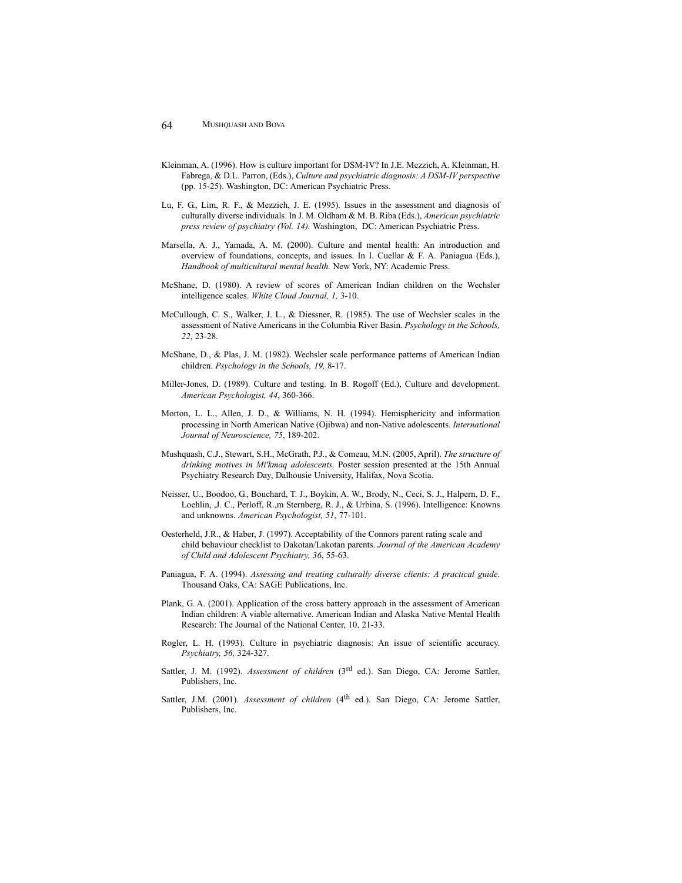- Kleinman, A. (1996). How is culture important for DSM-IV? In J.E. Mezzich, A. Kleinman, H. Fabrega, & D.L. Parron, (Eds.), *Culture and psychiatric diagnosis: A DSM-IV perspective* (pp. 15-25). Washington, DC: American Psychiatric Press.
- Lu, F. G., Lim, R. F., & Mezzich, J. E. (1995). Issues in the assessment and diagnosis of culturally diverse individuals. In J. M. Oldham & M. B. Riba (Eds.), *American psychiatric press review of psychiatry (Vol. 14).* Washington, DC: American Psychiatric Press.
- Marsella, A. J., Yamada, A. M. (2000). Culture and mental health: An introduction and overview of foundations, concepts, and issues. In I. Cuellar & F. A. Paniagua (Eds.), *Handbook of multicultural mental health.* New York, NY: Academic Press.
- McShane, D. (1980). A review of scores of American Indian children on the Wechsler intelligence scales. *White Cloud Journal, 1,* 3-10.
- McCullough, C. S., Walker, J. L., & Diessner, R. (1985). The use of Wechsler scales in the assessment of Native Americans in the Columbia River Basin. *Psychology in the Schools, 22*, 23-28.
- McShane, D., & Plas, J. M. (1982). Wechsler scale performance patterns of American Indian children. *Psychology in the Schools, 19,* 8-17.
- Miller-Jones, D. (1989). Culture and testing. In B. Rogoff (Ed.), Culture and development. *American Psychologist, 44*, 360-366.
- Morton, L. L., Allen, J. D., & Williams, N. H. (1994). Hemisphericity and information processing in North American Native (Ojibwa) and non-Native adolescents. *International Journal of Neuroscience, 75*, 189-202.
- Mushquash, C.J., Stewart, S.H., McGrath, P.J., & Comeau, M.N. (2005, April). *The structure of drinking motives in Mi'kmaq adolescents.* Poster session presented at the 15th Annual Psychiatry Research Day, Dalhousie University, Halifax, Nova Scotia.
- Neisser, U., Boodoo, G., Bouchard, T. J., Boykin, A. W., Brody, N., Ceci, S. J., Halpern, D. F., Loehlin, ,J. C., Perloff, R.,m Sternberg, R. J., & Urbina, S. (1996). Intelligence: Knowns and unknowns. *American Psychologist, 51*, 77-101.
- Oesterheld, J.R., & Haber, J. (1997). Acceptability of the Connors parent rating scale and child behaviour checklist to Dakotan/Lakotan parents. *Journal of the American Academy of Child and Adolescent Psychiatry, 36*, 55-63.
- Paniagua, F. A. (1994). *Assessing and treating culturally diverse clients: A practical guide.* Thousand Oaks, CA: SAGE Publications, Inc.
- Plank, G. A. (2001). Application of the cross battery approach in the assessment of American Indian children: A viable alternative. American Indian and Alaska Native Mental Health Research: The Journal of the National Center, 10, 21-33.
- Rogler, L. H. (1993). Culture in psychiatric diagnosis: An issue of scientific accuracy. *Psychiatry, 56,* 324-327.
- Sattler, J. M. (1992). *Assessment of children* (3rd ed.). San Diego, CA: Jerome Sattler, Publishers, Inc.
- Sattler, J.M. (2001). *Assessment of children* (4<sup>th</sup> ed.). San Diego, CA: Jerome Sattler, Publishers, Inc.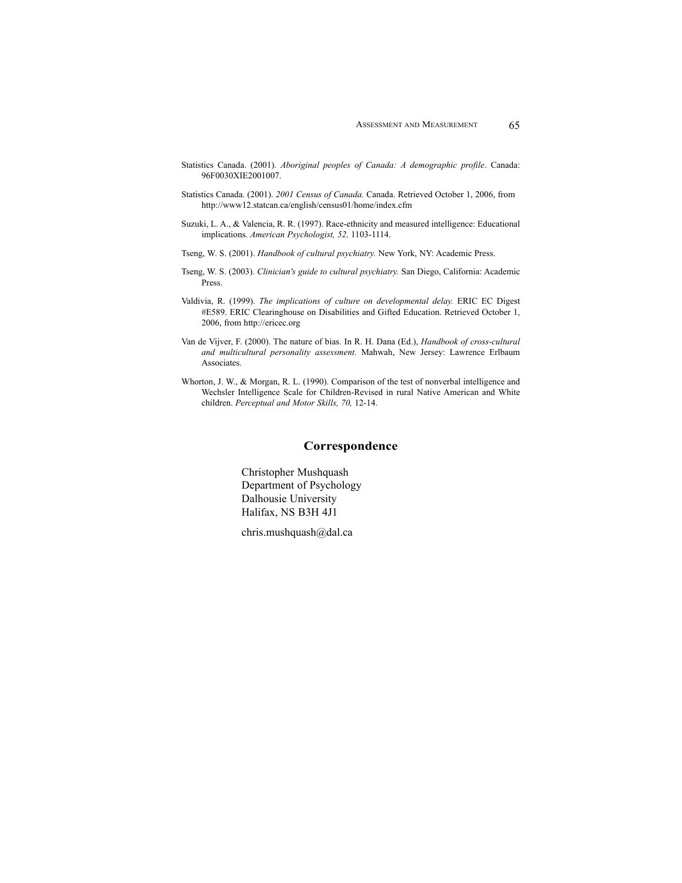- Statistics Canada. (2001). *Aboriginal peoples of Canada: A demographic profile*. Canada: 96F0030XIE2001007.
- Statistics Canada. (2001). *2001 Census of Canada.* Canada. Retrieved October 1, 2006, from http://www12.statcan.ca/english/census01/home/index.cfm
- Suzuki, L. A., & Valencia, R. R. (1997). Race-ethnicity and measured intelligence: Educational implications. *American Psychologist, 52,* 1103-1114.

Tseng, W. S. (2001). *Handbook of cultural psychiatry.* New York, NY: Academic Press.

- Tseng, W. S. (2003). *Clinician's guide to cultural psychiatry.* San Diego, California: Academic Press.
- Valdivia, R. (1999). *The implications of culture on developmental delay.* ERIC EC Digest #E589. ERIC Clearinghouse on Disabilities and Gifted Education. Retrieved October 1, 2006, from http://ericec.org
- Van de Vijver, F. (2000). The nature of bias. In R. H. Dana (Ed.), *Handbook of cross-cultural and multicultural personality assessment.* Mahwah, New Jersey: Lawrence Erlbaum Associates.
- Whorton, J. W., & Morgan, R. L. (1990). Comparison of the test of nonverbal intelligence and Wechsler Intelligence Scale for Children-Revised in rural Native American and White children. *Perceptual and Motor Skills, 70,* 12-14.

### **Correspondence**

Christopher Mushquash Department of Psychology Dalhousie University Halifax, NS B3H 4J1

chris.mushquash@dal.ca